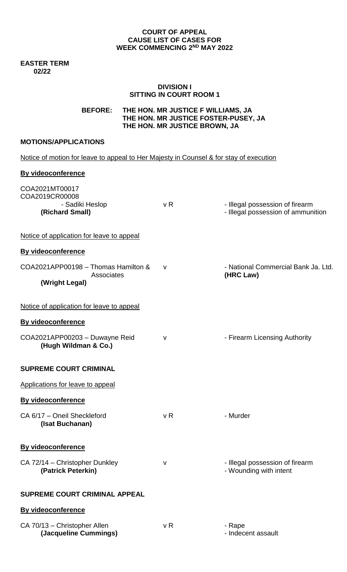## **COURT OF APPEAL CAUSE LIST OF CASES FOR WEEK COMMENCING 2 ND MAY 2022**

#### **EASTER TERM 02/22**

## **DIVISION I SITTING IN COURT ROOM 1**

**BEFORE: THE HON. MR JUSTICE F WILLIAMS, JA THE HON. MR JUSTICE FOSTER-PUSEY, JA THE HON. MR JUSTICE BROWN, JA** 

# **MOTIONS/APPLICATIONS**

| Notice of motion for leave to appeal to Her Majesty in Counsel & for stay of execution |                |                                                                       |  |  |
|----------------------------------------------------------------------------------------|----------------|-----------------------------------------------------------------------|--|--|
| <b>By videoconference</b>                                                              |                |                                                                       |  |  |
| COA2021MT00017<br>COA2019CR00008<br>- Sadiki Heslop<br>(Richard Small)                 | v R            | - Illegal possession of firearm<br>- Illegal possession of ammunition |  |  |
| Notice of application for leave to appeal                                              |                |                                                                       |  |  |
| <b>By videoconference</b>                                                              |                |                                                                       |  |  |
| COA2021APP00198 - Thomas Hamilton &<br><b>Associates</b><br>(Wright Legal)             | v              | - National Commercial Bank Ja. Ltd.<br>(HRC Law)                      |  |  |
| Notice of application for leave to appeal                                              |                |                                                                       |  |  |
| <b>By videoconference</b>                                                              |                |                                                                       |  |  |
| COA2021APP00203 - Duwayne Reid<br>(Hugh Wildman & Co.)                                 | $\mathsf{V}$   | - Firearm Licensing Authority                                         |  |  |
| <b>SUPREME COURT CRIMINAL</b>                                                          |                |                                                                       |  |  |
| Applications for leave to appeal                                                       |                |                                                                       |  |  |
| By videoconference                                                                     |                |                                                                       |  |  |
| CA 6/17 - Oneil Sheckleford<br>(Isat Buchanan)                                         | v <sub>R</sub> | - Murder                                                              |  |  |
| By videoconference                                                                     |                |                                                                       |  |  |
| CA 72/14 - Christopher Dunkley<br>(Patrick Peterkin)                                   | V              | - Illegal possession of firearm<br>- Wounding with intent             |  |  |
| <b>SUPREME COURT CRIMINAL APPEAL</b>                                                   |                |                                                                       |  |  |
| <b>By videoconference</b>                                                              |                |                                                                       |  |  |
| CA 70/13 - Christopher Allen<br>(Jacqueline Cummings)                                  | v R            | - Rape<br>- Indecent assault                                          |  |  |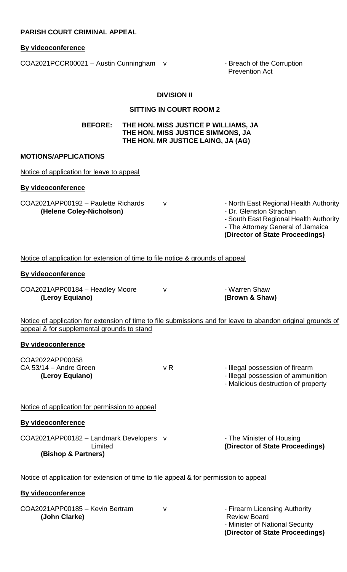# **PARISH COURT CRIMINAL APPEAL**

## **By videoconference**

COA2021PCCR00021 - Austin Cunningham v - Breach of the Corruption

Prevention Act

**(Director of State Proceedings)** 

## **DIVISION II**

## **SITTING IN COURT ROOM 2**

**BEFORE: THE HON. MISS JUSTICE P WILLIAMS, JA THE HON. MISS JUSTICE SIMMONS, JA THE HON. MR JUSTICE LAING, JA (AG)**

## **MOTIONS/APPLICATIONS**

| Notice of application for leave to appeal                                                                                                                  |                |                                                                                                                                                                                     |  |
|------------------------------------------------------------------------------------------------------------------------------------------------------------|----------------|-------------------------------------------------------------------------------------------------------------------------------------------------------------------------------------|--|
| <b>By videoconference</b>                                                                                                                                  |                |                                                                                                                                                                                     |  |
| COA2021APP00192 - Paulette Richards<br>(Helene Coley-Nicholson)                                                                                            | v              | - North East Regional Health Authority<br>- Dr. Glenston Strachan<br>- South East Regional Health Authority<br>- The Attorney General of Jamaica<br>(Director of State Proceedings) |  |
| Notice of application for extension of time to file notice & grounds of appeal                                                                             |                |                                                                                                                                                                                     |  |
| <b>By videoconference</b>                                                                                                                                  |                |                                                                                                                                                                                     |  |
| COA2021APP00184 - Headley Moore<br>(Leroy Equiano)                                                                                                         | v              | - Warren Shaw<br>(Brown & Shaw)                                                                                                                                                     |  |
| Notice of application for extension of time to file submissions and for leave to abandon original grounds of<br>appeal & for supplemental grounds to stand |                |                                                                                                                                                                                     |  |
| <b>By videoconference</b>                                                                                                                                  |                |                                                                                                                                                                                     |  |
| COA2022APP00058<br>CA 53/14 - Andre Green<br>(Leroy Equiano)                                                                                               | v <sub>R</sub> | - Illegal possession of firearm<br>- Illegal possession of ammunition<br>- Malicious destruction of property                                                                        |  |
| Notice of application for permission to appeal                                                                                                             |                |                                                                                                                                                                                     |  |
| <b>By videoconference</b>                                                                                                                                  |                |                                                                                                                                                                                     |  |
| COA2021APP00182 - Landmark Developers v<br>Limited<br>(Bishop & Partners)                                                                                  |                | - The Minister of Housing<br>(Director of State Proceedings)                                                                                                                        |  |
| Notice of application for extension of time to file appeal & for permission to appeal                                                                      |                |                                                                                                                                                                                     |  |
| <b>By videoconference</b>                                                                                                                                  |                |                                                                                                                                                                                     |  |
| COA2021APP00185 - Kevin Bertram<br>(John Clarke)                                                                                                           | v              | - Firearm Licensing Authority<br><b>Review Board</b><br>- Minister of National Security                                                                                             |  |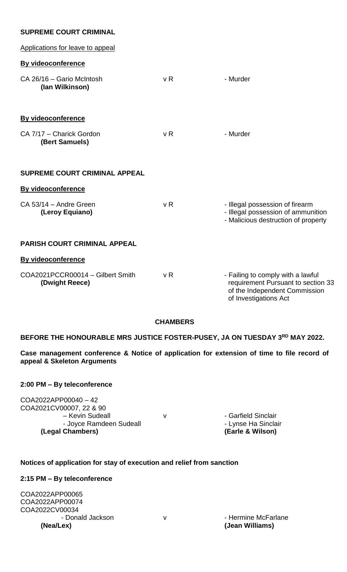# **SUPREME COURT CRIMINAL**

| Applications for leave to appeal                   |                |                                                                                                                                   |
|----------------------------------------------------|----------------|-----------------------------------------------------------------------------------------------------------------------------------|
| By videoconference                                 |                |                                                                                                                                   |
| CA 26/16 - Gario McIntosh<br>(lan Wilkinson)       | v <sub>R</sub> | - Murder                                                                                                                          |
| <b>By videoconference</b>                          |                |                                                                                                                                   |
| CA 7/17 - Charick Gordon<br>(Bert Samuels)         | v <sub>R</sub> | - Murder                                                                                                                          |
| <b>SUPREME COURT CRIMINAL APPEAL</b>               |                |                                                                                                                                   |
| <b>By videoconference</b>                          |                |                                                                                                                                   |
| CA 53/14 - Andre Green<br>(Leroy Equiano)          | v R            | - Illegal possession of firearm<br>- Illegal possession of ammunition<br>- Malicious destruction of property                      |
| <b>PARISH COURT CRIMINAL APPEAL</b>                |                |                                                                                                                                   |
| <b>By videoconference</b>                          |                |                                                                                                                                   |
| COA2021PCCR00014 - Gilbert Smith<br>(Dwight Reece) | v <sub>R</sub> | - Failing to comply with a lawful<br>requirement Pursuant to section 33<br>of the Independent Commission<br>of Investigations Act |

### **CHAMBERS**

# **BEFORE THE HONOURABLE MRS JUSTICE FOSTER-PUSEY, JA ON TUESDAY 3 RD MAY 2022.**

**Case management conference & Notice of application for extension of time to file record of appeal & Skeleton Arguments** 

### **2:00 PM – By teleconference**

COA2022APP00040 – 42 COA2021CV00007, 22 & 90 – Kevin Sudeall V v v - Garfield Sinclair - Joyce Ramdeen Sudeall **Chambers** - Lynse Ha Sinclair<br> **Chambers** (Earle & Wilson) **(Legal Chambers) (Earle & Wilson)**

# **Notices of application for stay of execution and relief from sanction**

## **2:15 PM – By teleconference**

COA2022APP00065 COA2022APP00074 COA2022CV00034 - Donald Jackson v v v · Hermine McFarlane **(Nea/Lex) (Jean Williams)**